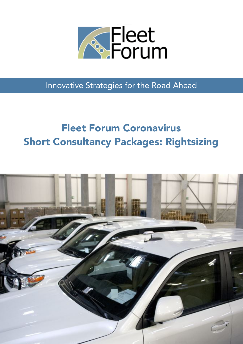

Innovative Strategies for the Road Ahead

## Fleet Forum Coronavirus Short Consultancy Packages: Rightsizing

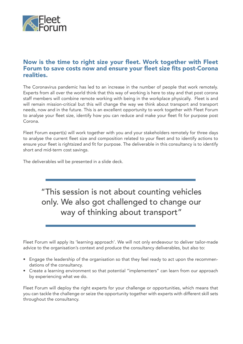

## Now is the time to right size your fleet. Work together with Fleet Forum to save costs now and ensure your fleet size fits post-Corona realities.

The Coronavirus pandemic has led to an increase in the number of people that work remotely. Experts from all over the world think that this way of working is here to stay and that post corona staff members will combine remote working with being in the workplace physically. Fleet is and will remain mission-critical but this will change the way we think about transport and transport needs, now and in the future. This is an excellent opportunity to work together with Fleet Forum to analyse your fleet size, identify how you can reduce and make your fleet fit for purpose post Corona.

Fleet Forum expert(s) will work together with you and your stakeholders remotely for three days to analyse the current fleet size and composition related to your fleet and to identify actions to ensure your fleet is rightsized and fit for purpose. The deliverable in this consultancy is to identify short and mid-term cost savings.

The deliverables will be presented in a slide deck.

"This session is not about counting vehicles only. We also got challenged to change our way of thinking about transport"

Fleet Forum will apply its 'learning approach'. We will not only endeavour to deliver tailor-made advice to the organisation's context and produce the consultancy deliverables, but also to:

- Engage the leadership of the organisation so that they feel ready to act upon the recommendations of the consultancy.
- Create a learning environment so that potential "implementers" can learn from our approach by experiencing what we do.

Fleet Forum will deploy the right experts for your challenge or opportunities, which means that you can tackle the challenge or seize the opportunity together with experts with different skill sets throughout the consultancy.